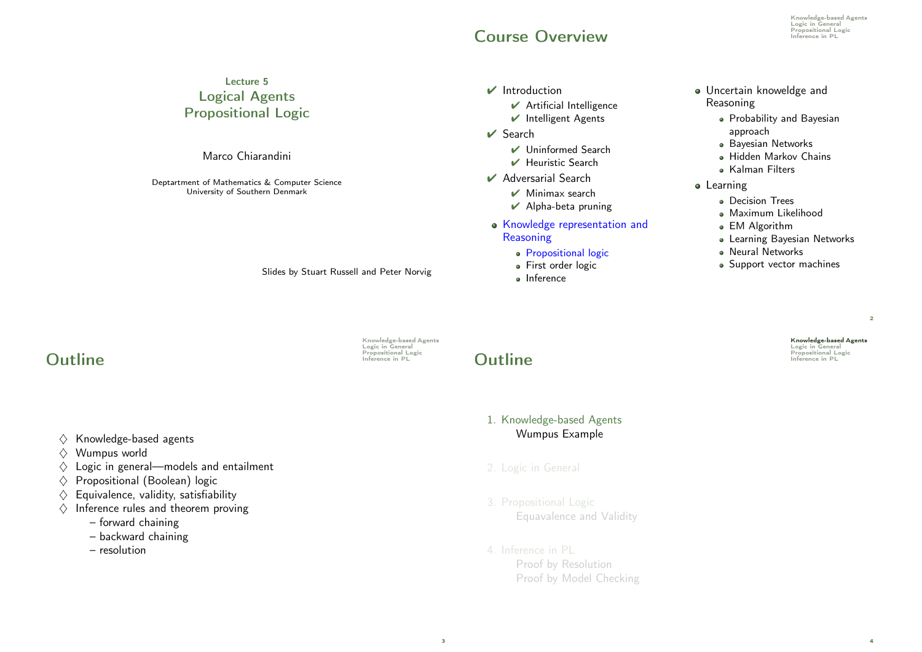### **COURSE OVERVIEW**

Knowledge-based Agents **Logic in General**<br>Propositional Logic

### Lecture 5 Logical Agents Propositional Logic

Marco Chiarandini

Deptartment of Mathematics & Computer Science University of Southern Denmark

Slides by Stuart Russell and Peter Norvig

# Knowledge-based Agents Logic in General

3

### $\vee$  Search

 $\vee$  Introduction

✔ Uninformed Search

 $\vee$  Artificial Intelligence ✔ Intelligent Agents

- ✔ Heuristic Search
- ✔ Adversarial Search
	- $\nu$  Minimax search
	- $\vee$  Alpha-beta pruning
- Knowledge representation and **Reasoning** 
	- **Propositional logic**
	- **First order logic**
	- **a** Inference
- Uncertain knoweldge and Reasoning
	- Probability and Bayesian approach
	- **•** Bayesian Networks
	- Hidden Markov Chains
	- Kalman Filters
- **o** Learning
	- Decision Trees
	- Maximum Likelihood
	- EM Algorithm
	- Learning Bayesian Networks
	- Neural Networks
	- Support vector machines

Knowledge-based Agents Logic in General<br>Propositional Logic

 $\overline{2}$ 

4

**Propositional Logic Dutline** Inference in PL

- $\diamondsuit$  Knowledge-based agents
- $\Diamond$  Wumpus world
- $\Diamond$  Logic in general—models and entailment
- $\diamondsuit$  Propositional (Boolean) logic
- $\diamondsuit$  Equivalence, validity, satisfiability
- $\Diamond$  Inference rules and theorem proving
	- forward chaining
	- backward chaining
	- resolution

# **Outline Suppositional Logic Propositional Logic Propositional Logic**

- 1. Knowledge-based Agents Wumpus Example
- 
- 3. Propositional Logic Equavalence and Validity
- 4. Inference in PL Proof by Resolution Proof by Model Checking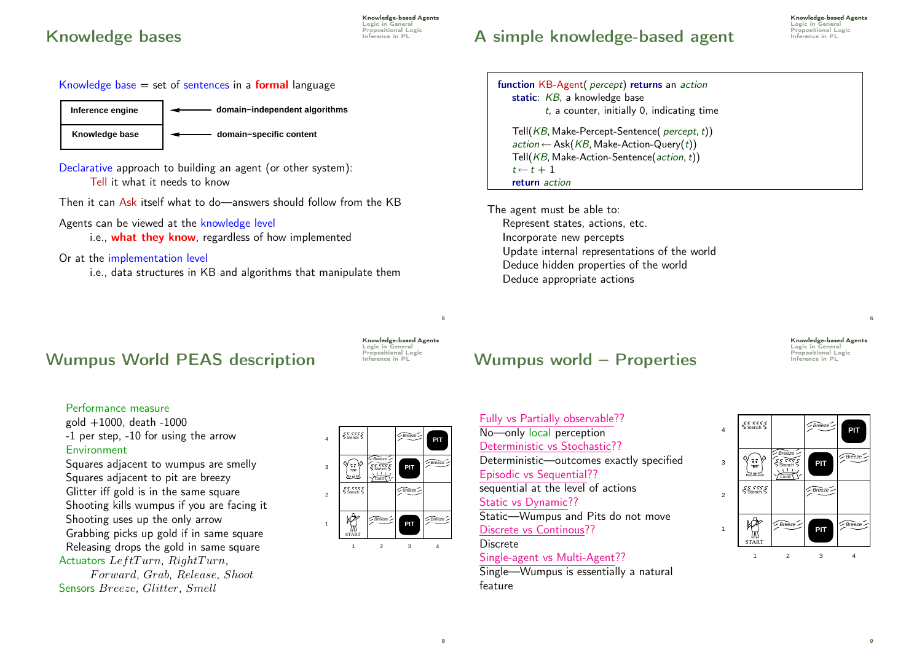### **Knowledge bases Expressitional Logic Concernse on PL**

Knowledge-based Agents Logic in General<br>Propositional Logic

### Knowledge base  $=$  set of sentences in a **formal** language



Declarative approach to building an agent (or other system): Tell it what it needs to know

Then it can Ask itself what to do—answers should follow from the KB

Agents can be viewed at the knowledge level

i.e., what they know, regardless of how implemented

Or at the implementation level

i.e., data structures in KB and algorithms that manipulate them

## Wumpus World PEAS description Frequenties in PL

Knowledge-based Agents Logic in General<br>Propositional Logic

5

8

### Wumpus world – Properties  $\mathbb{R}^{\text{Propositional L}}$

Fully vs Partially observable?? No—only local perception Deterministic vs Stochastic?? Deterministic—outcomes exactly specified Episodic vs Sequential?? sequential at the level of actions Static vs Dynamic?? Static—Wumpus and Pits do not move Discrete vs Continous?? Discrete Single-agent vs Multi-Agent??

Single—Wumpus is essentially a natural feature

### Performance measure

gold +1000, death -1000 -1 per step, -10 for using the arrow Environment

Squares adjacent to wumpus are smelly Squares adjacent to pit are breezy Glitter iff gold is in the same square Shooting kills wumpus if you are facing it Shooting uses up the only arrow Grabbing picks up gold if in same square Releasing drops the gold in same square Actuators LeftTurn,  $RightTurn$ ,

F orward, Grab, Release, Shoot Sensors Breeze, Glitter, Smell



### ss ssss<br>Stench Breeze 4 Breeze  $\left(\begin{smallmatrix} \bullet & \bullet \ \bullet & \bullet \ \bullet & \bullet \end{smallmatrix}\right)$ Breeze 3 **PIT** Stench ' بےہی Gold<sup>1</sup> Stench S  $Breeze$  $\overline{2}$ 愤

1

START

1 2 3 4

 $Breeze$  |  $\sim$  Breeze -

**PIT**

Knowledge-based Agents Logic in General

6

**PIT**

function KB-Agent( percept) returns an action

Tell(KB, Make-Percept-Sentence( percept, t))  $action \leftarrow Ask(KB, Make-Action-Query(t))$ Tell(KB, Make-Action-Sentence(action, t))

Update internal representations of the world Deduce hidden properties of the world

 $t$ , a counter, initially 0, indicating time

static: KB, a knowledge base

 $t \leftarrow t + 1$ return action

The agent must be able to:

Represent states, actions, etc. Incorporate new percepts

Deduce appropriate actions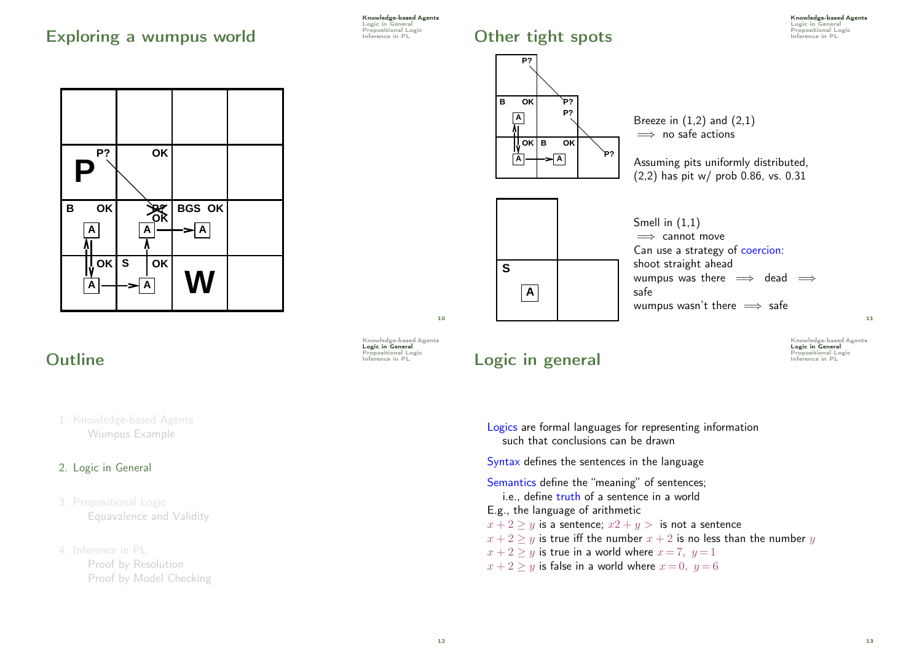### Exploring a wumpus world **Exploring a** wumpus world



### **Outline Inference in PL** Inference in PL

### 1. Knowledge-based Agents Wumpus Example

### 2. Logic in General

### 3. Propositional Logic Equavalence and Validity

### 4. Inference in PL Proof by Resolution Proof by Model Checking

Knowledge-based Agents Logic in General<br>Propositional Logic

## Other tight spots **Inference in PL Propositional Logic Other tight**





Knowledge-based Agents Logic in General<br>Propositional Logic

10

## Logic in general **Logic in general**

Knowledge-based Agents Logic in General<br>Propositional Logic

11

Logics are formal languages for representing information such that conclusions can be drawn Syntax defines the sentences in the language Semantics define the "meaning" of sentences; i.e., define truth of a sentence in a world E.g., the language of arithmetic  $x + 2 \ge y$  is a sentence;  $x^2 + y > 1$  is not a sentence  $x + 2 > y$  is true iff the number  $x + 2$  is no less than the number y  $x + 2 > y$  is true in a world where  $x = 7, y = 1$  $x + 2 > y$  is false in a world where  $x = 0$ ,  $y = 6$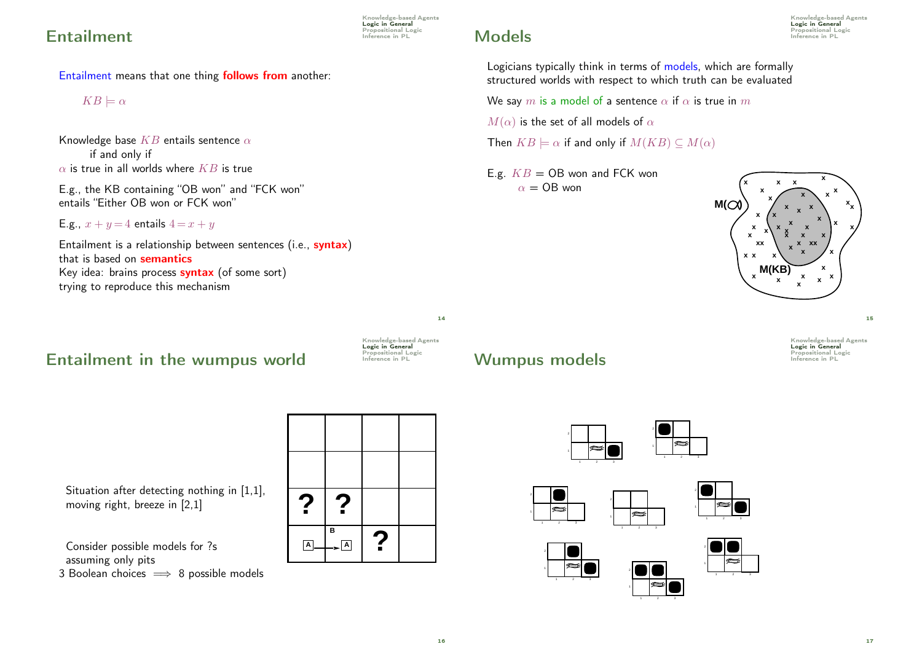### **Entailment Entailment**

Entailment means that one thing follows from another:

 $KB \models \alpha$ 

Knowledge base  $KB$  entails sentence  $\alpha$ if and only if  $\alpha$  is true in all worlds where  $KB$  is true

E.g., the KB containing "OB won" and "FCK won" entails "Either OB won or FCK won"

E.g., 
$$
x + y = 4
$$
 entails  $4 = x + y$ 

Entailment is a relationship between sentences (i.e., syntax) that is based on semantics Key idea: brains process **syntax** (of some sort) trying to reproduce this mechanism

## $Entailment$  in the wumpus world Inference in PL



Situation after detecting nothing in [1,1], moving right, breeze in [2,1]

Consider possible models for ?s assuming only pits 3 Boolean choices  $\implies$  8 possible models



Knowledge-based Agents Logic in General<br>Propositional Logic

Logicians typically think in terms of models, which are formally structured worlds with respect to which truth can be evaluated

We say m is a model of a sentence  $\alpha$  if  $\alpha$  is true in m

 $M(\alpha)$  is the set of all models of  $\alpha$ 

Then  $KB \models \alpha$  if and only if  $M(KB) \subseteq M(\alpha)$ 

E.g.  $KB = OB$  won and FCK won  $\alpha =$  OB won



15

Knowledge-based Agents Logic in General<br>Propositional Logic

### Wumpus models **Interested** Inference in PL







14

Knowledge-based Agents Logic in General<br>Propositional Logic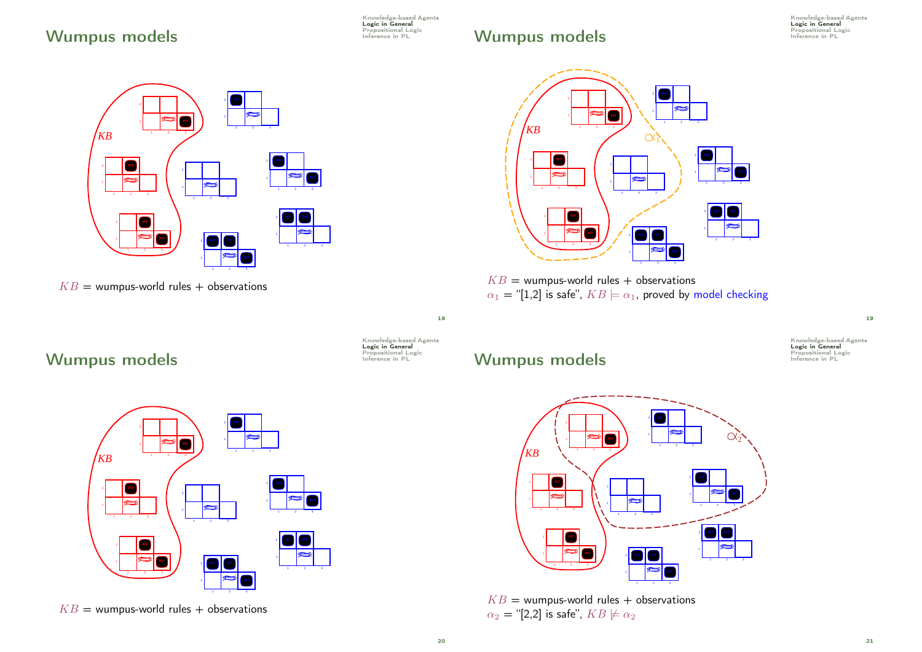## Wumpus models **Interestional Logic** Propositional Logic

Knowledge-based Agents<br>**Logic in General** 

## Wumpus models

Knowledge-based Agents Logic in General<br>Propositional Logic<br>Inference in PL



 $KB =$  wumpus-world rules + observations



 $KB =$  wumpus-world rules + observations  $\alpha_1$  = "[1,2] is safe",  $KB \models \alpha_1$ , proved by model checking

## Wumpus models



18

20

## Wumpus models **Interested** Inference in PL



 $KB =$  wumpus-world rules + observations



 $KB =$  wumpus-world rules + observations  $\alpha_2$  = "[2,2] is safe",  $KB \not\models \alpha_2$ 



Knowledge-based Agents<br>**Logic in General**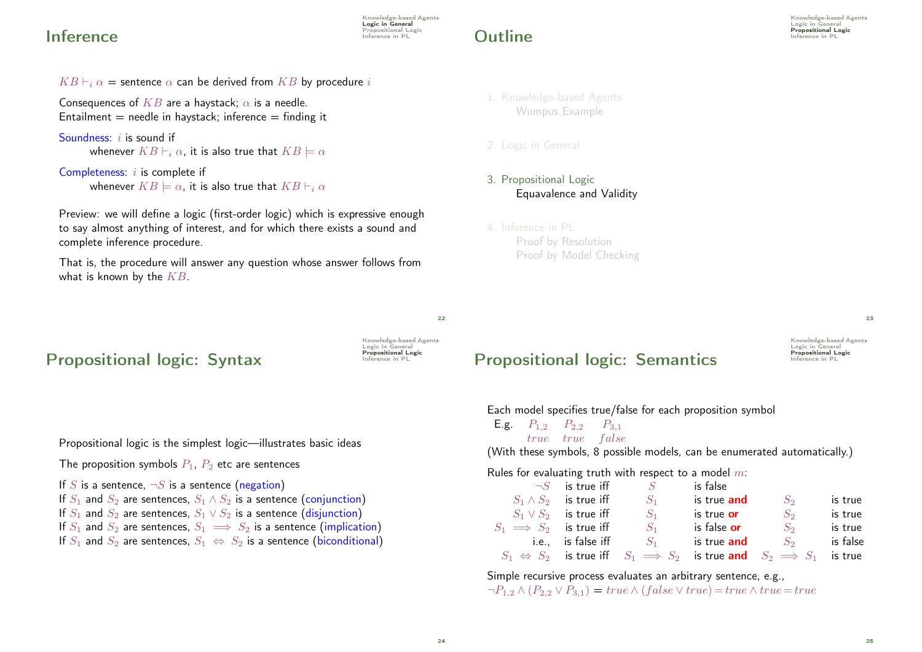### **Inference**

Knowledge-based Agents Logic in General Propositional Logic<br>Inference in PL

## **Propositional Logic Dutline**

Knowledge-based Agents Logic in General<br>Propositional Logic

 $KB \vdash_i \alpha$  = sentence  $\alpha$  can be derived from KB by procedure i

Consequences of  $KB$  are a haystack;  $\alpha$  is a needle. Entailment  $=$  needle in haystack; inference  $=$  finding it

```
Soundness: i is sound if
       whenever KB \vdash_i \alpha, it is also true that KB \models \alpha
```

```
Completeness: i is complete if
       whenever KB \models \alpha, it is also true that KB \vdash_i \alpha
```
Preview: we will define a logic (first-order logic) which is expressive enough to say almost anything of interest, and for which there exists a sound and complete inference procedure.

That is, the procedure will answer any question whose answer follows from what is known by the  $KB$ .

## Propositional logic: Syntax Frequence in PL

Knowledge-based Agents Logic in General<br>**Propositional Logic** 

 $22$ 

### 1. Knowledge-based Agents Wumpus Example

- 3. Propositional Logic Equavalence and Validity
- 4. Inference in PL Proof by Resolution Proof by Model Checking

Knowledge-based Agents Logic in General<br>**Propositional Logic** Propositional logic: Semantics

 $23$ 

|  |                                           |  | Each model specifies true/false for each proposition symbol               |       |        |
|--|-------------------------------------------|--|---------------------------------------------------------------------------|-------|--------|
|  | <b>E.g.</b> $P_{1,2}$ $P_{2,2}$ $P_{3,1}$ |  |                                                                           |       |        |
|  | <i>true true false</i>                    |  |                                                                           |       |        |
|  |                                           |  | (With these symbols, 8 possible models, can be enumerated automatically.) |       |        |
|  |                                           |  | Rules for evaluating truth with respect to a model $m$ :                  |       |        |
|  |                                           |  | $\neg S$ is true iff $S$ is false                                         |       |        |
|  |                                           |  | $S_1 \wedge S_2$ is true iff $S_1$ is true and                            | $S_2$ | is tri |

|                                | $S_1 \wedge S_2$ is true iff | $S_1$                    | is true and        | $S_2$                                                                                           | is true  |
|--------------------------------|------------------------------|--------------------------|--------------------|-------------------------------------------------------------------------------------------------|----------|
|                                | $S_1 \vee S_2$ is true iff   | $S_1$                    | is true or         | $S_2$                                                                                           | is true  |
| $S_1 \implies S_2$ is true iff |                              | $S_1$                    | is false or        | $S_2$                                                                                           | is true  |
|                                |                              | i.e., is false iff $S_1$ | is true <b>and</b> | $S_2$                                                                                           | is false |
|                                |                              |                          |                    | $S_1 \Leftrightarrow S_2$ is true iff $S_1 \implies S_2$ is true and $S_2 \implies S_1$ is true |          |

Simple recursive process evaluates an arbitrary sentence, e.g.,  $\neg P_{1,2} \land (P_{2,2} \lor P_{3,1}) = true \land (false \lor true) = true \land true = true$ 

Propositional logic is the simplest logic—illustrates basic ideas

The proposition symbols  $P_1$ ,  $P_2$  etc are sentences

If S is a sentence,  $\neg S$  is a sentence (negation) If  $S_1$  and  $S_2$  are sentences,  $S_1 \wedge S_2$  is a sentence (conjunction) If  $S_1$  and  $S_2$  are sentences,  $S_1 \vee S_2$  is a sentence (disjunction) If  $S_1$  and  $S_2$  are sentences,  $S_1 \implies S_2$  is a sentence (implication) If  $S_1$  and  $S_2$  are sentences,  $S_1 \Leftrightarrow S_2$  is a sentence (biconditional)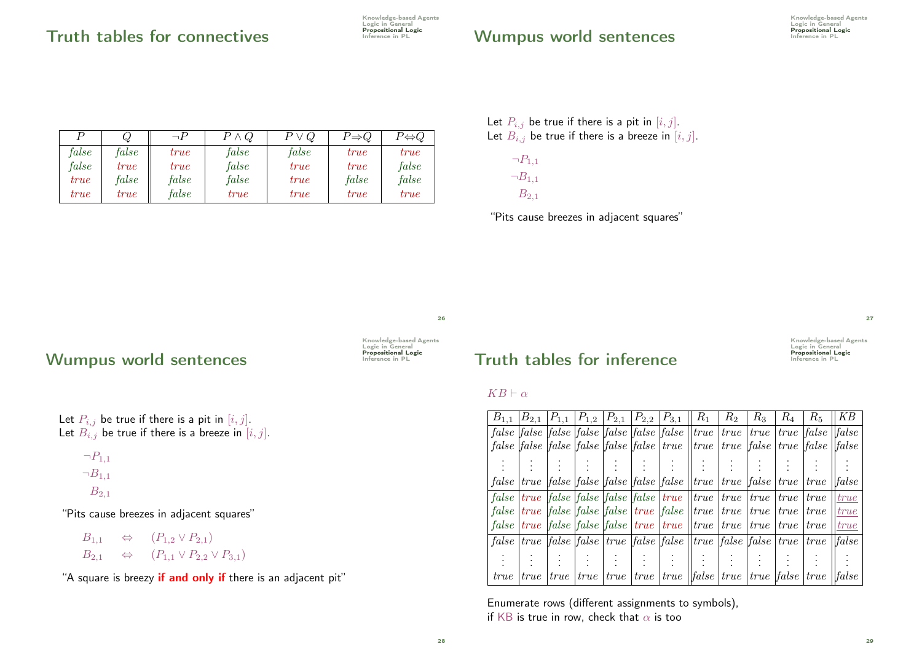| Knowledge-based Agents     |
|----------------------------|
| Logic in General           |
| <b>Propositional Logic</b> |
| Inference in PL            |

### Wumpus world sentences **Expresitional Logic Wumpus World Sentence** in PL

|       | Ų           | $\neg P$    | $P \wedge Q$ | $P \vee Q$  | $P{\Rightarrow}Q$ | $P{\Leftrightarrow} Q$ |
|-------|-------------|-------------|--------------|-------------|-------------------|------------------------|
| false | $\it false$ | true        | $\it false$  | $\it false$ | true              | true                   |
| false | true        | true        | false        | true        | true              | false                  |
| true  | false       | $\it false$ | $\it false$  | true        | false             | false                  |
| true  | true        | $\it false$ | true         | true        | true              | true                   |

Let  $P_{i,j}$  be true if there is a pit in  $[i, j]$ . Let  $B_{i,j}$  be true if there is a breeze in  $[i, j]$ .



"Pits cause breezes in adjacent squares"

### 26

### Wumpus world sentences

Knowledge-based Agents Logic in General<br>Propositional Logic

Let  $P_{i,j}$  be true if there is a pit in  $[i, j]$ . Let  $B_{i,j}$  be true if there is a breeze in  $[i, j]$ .

$$
\neg P_{1,1}
$$

$$
\neg B_{1,1}
$$

$$
B_{2,1}
$$

"Pits cause breezes in adjacent squares"

 $B_{1,1} \Leftrightarrow (P_{1,2} \vee P_{2,1})$  $B_{2,1} \Leftrightarrow (P_{1,1} \vee P_{2,2} \vee P_{3,1})$ 

"A square is breezy if and only if there is an adjacent pit"



### $KB \vdash \alpha$

| $B_{1,1}$                                             |             |      |      | $ B_{2,1}  P_{1,1}   P_{1,2}   P_{2,1}   P_{2,2}   P_{3,1}$ |                                                         | $R_1$                                                                                                                                                                                                                         | $R_2$ | $R_3$ | $R_{4}$     | $R_5$          | KΒ                            |
|-------------------------------------------------------|-------------|------|------|-------------------------------------------------------------|---------------------------------------------------------|-------------------------------------------------------------------------------------------------------------------------------------------------------------------------------------------------------------------------------|-------|-------|-------------|----------------|-------------------------------|
| false   false   false   false   false   false   false |             |      |      |                                                             |                                                         | true                                                                                                                                                                                                                          | true  | true  |             | $true$ [false] | false                         |
|                                                       |             |      |      |                                                             |                                                         | <i>false</i> [ <i>false</i> [ <i>false</i> [ <i>false</i> [ <i>false</i> [ <i>false</i>   <i>true</i>   <i>true</i>   <i>true</i>   <i>false</i>                                                                              |       |       |             | true [false]   | $\left  \text{false} \right $ |
|                                                       |             |      |      |                                                             |                                                         |                                                                                                                                                                                                                               |       |       |             |                |                               |
|                                                       |             |      |      |                                                             |                                                         | false   true   false   false   false   false   false     true   true   false   true   true                                                                                                                                    |       |       |             |                | false                         |
| false                                                 |             |      |      |                                                             |                                                         | true false false false true  true                                                                                                                                                                                             | true  | true  | <i>true</i> | true           | true                          |
| false                                                 |             |      |      |                                                             | <i>true false false false true false</i>                | true                                                                                                                                                                                                                          | true  | true  | true        | <i>true</i>    | true                          |
| false                                                 |             |      |      |                                                             | <i>true false false false <i>true <i>true f</i></i></i> | true                                                                                                                                                                                                                          | true  | true  | <i>true</i> | <i>true</i>    | true                          |
|                                                       |             |      |      |                                                             |                                                         | false true translation of the same of the set of the set of the set of the set of the set of the set of the set of the set of the set of the set of the set of the set of the set of the set of the set of the set of the set |       |       |             | <i>true</i>    | false                         |
|                                                       |             |      |      |                                                             |                                                         |                                                                                                                                                                                                                               |       |       |             |                |                               |
| <i>true</i>                                           | <i>true</i> | true | true |                                                             |                                                         | <i>true</i>   <i>true</i>   <i>true</i>   <i>l</i> [ <i>false</i>   <i>true</i>   <i>true</i>   <i>false</i>   <i>true</i>                                                                                                    |       |       |             |                | false                         |

Enumerate rows (different assignments to symbols), if KB is true in row, check that  $\alpha$  is too

27

Knowledge-based Agents Logic in General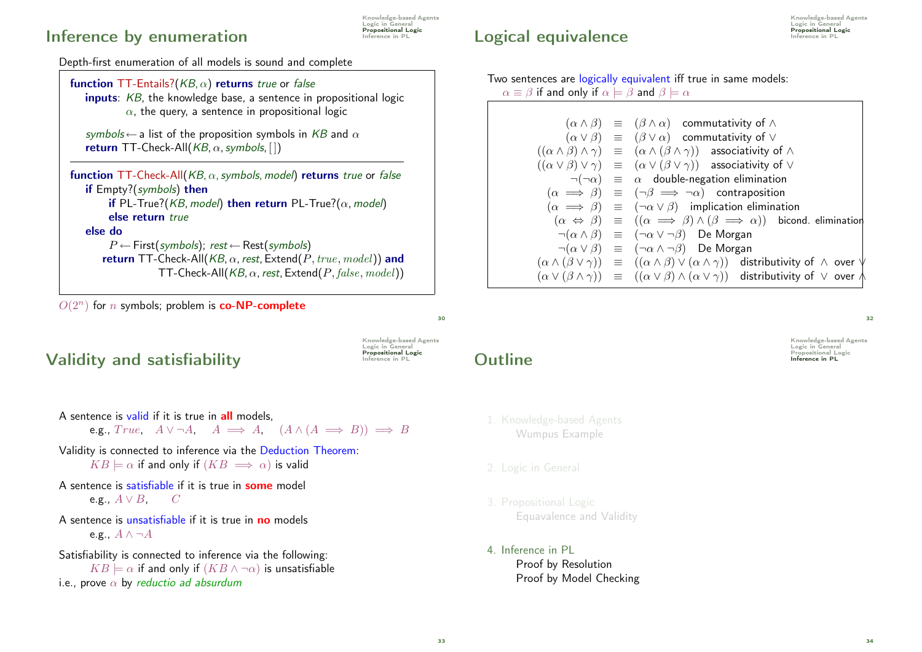### Inference by enumeration

Knowledge-based Agents Logic in General **Propositional Logic**<br>Inference in PL

Depth-first enumeration of all models is sound and complete



 $O(2^n)$  for *n* symbols; problem is **co-NP-complete** 

### Validity and satisfiability **Interestigral Logic Validity**

Knowledge-based Agents Logic in General<br>**Propositional Logic** 

 $\overline{30}$ 

A sentence is valid if it is true in all models.

e.g.,  $True, \quad A \lor \neg A, \quad A \implies A, \quad (A \land (A \implies B)) \implies B$ 

- Validity is connected to inference via the Deduction Theorem:  $KB \models \alpha$  if and only if  $(KB \implies \alpha)$  is valid
- A sentence is satisfiable if it is true in **some** model e.g.,  $A \vee B$ ,  $C$
- A sentence is unsatisfiable if it is true in **no** models e.g.,  $A \wedge \neg A$

Satisfiability is connected to inference via the following:  $KB \models \alpha$  if and only if  $(KB \land \neg \alpha)$  is unsatisfiable i.e., prove  $\alpha$  by reductio ad absurdum

## Propositional Logic Logical equivalence Inference in PL

Knowledge-based Agents Logic in General

| Two sentences are logically equivalent iff true in same models:                        |  |  |  |
|----------------------------------------------------------------------------------------|--|--|--|
| $\alpha \equiv \beta$ if and only if $\alpha \models \beta$ and $\beta \models \alpha$ |  |  |  |

| $(\alpha \wedge \beta) \equiv (\beta \wedge \alpha)$ commutativity of $\wedge$                                                             |
|--------------------------------------------------------------------------------------------------------------------------------------------|
| $(\alpha \vee \beta) \equiv (\beta \vee \alpha)$ commutativity of $\vee$                                                                   |
| $((\alpha \wedge \beta) \wedge \gamma) \equiv (\alpha \wedge (\beta \wedge \gamma))$ associativity of $\wedge$                             |
| $((\alpha \vee \beta) \vee \gamma) \equiv (\alpha \vee (\beta \vee \gamma))$ associativity of $\vee$                                       |
| $\neg(\neg \alpha) \equiv \alpha$ double-negation elimination                                                                              |
| $(\alpha \implies \beta) \equiv (\neg \beta \implies \neg \alpha)$ contraposition                                                          |
| $(\alpha \implies \beta) \equiv (\neg \alpha \vee \beta)$ implication elimination                                                          |
| $(\alpha \Leftrightarrow \beta) \equiv ((\alpha \implies \beta) \wedge (\beta \implies \alpha))$ bicond. elimination                       |
| $\lnot(\alpha \wedge \beta) \equiv (\lnot \alpha \vee \lnot \beta)$ De Morgan                                                              |
| $\lnot(\alpha \vee \beta) \equiv (\lnot \alpha \wedge \lnot \beta)$ De Morgan                                                              |
| $(\alpha \wedge (\beta \vee \gamma)) \equiv ((\alpha \wedge \beta) \vee (\alpha \wedge \gamma))$ distributivity of $\wedge$ over $\forall$ |
| $(\alpha \vee (\beta \wedge \gamma)) \equiv ((\alpha \vee \beta) \wedge (\alpha \vee \gamma))$ distributivity of $\vee$ over $\wedge$      |
|                                                                                                                                            |

Knowledge-based Agents Logic in General<br>Propositional Logic

 $32$ 

- **Outline Suppositional Logic Propositional Logic Contract PL Inference in PL** 
	- 1. Knowledge-based Agents Wumpus Example
	-
	- 3. Propositional Logic Equavalence and Validity
	- 4. Inference in PL Proof by Resolution Proof by Model Checking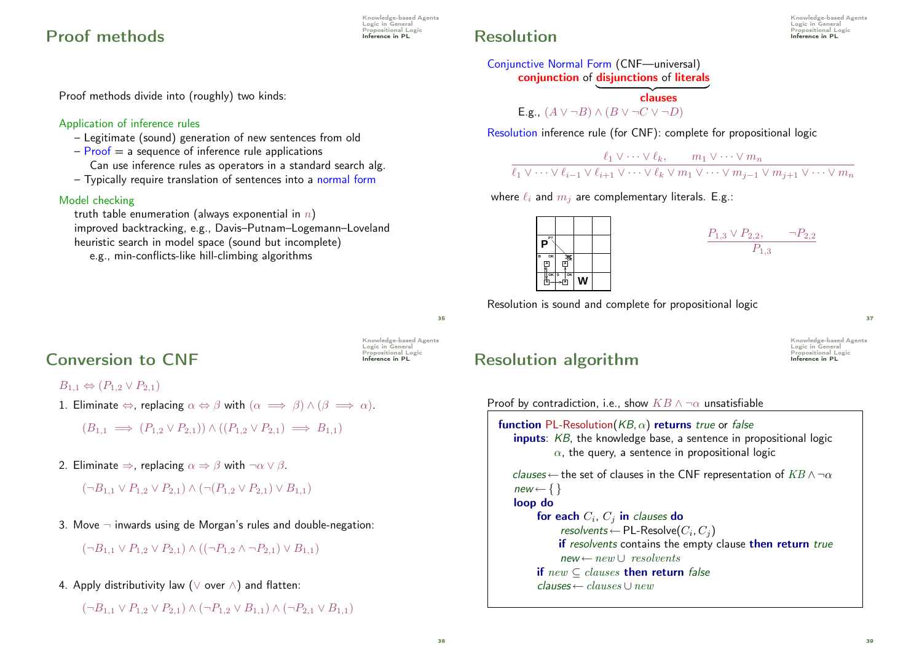### **Proof methods Inference in PL**

Proof methods divide into (roughly) two kinds:

### Application of inference rules

- Legitimate (sound) generation of new sentences from old
- $P$ roof = a sequence of inference rule applications
- Can use inference rules as operators in a standard search alg.
- Typically require translation of sentences into a normal form

### Model checking

truth table enumeration (always exponential in  $n$ ) improved backtracking, e.g., Davis–Putnam–Logemann–Loveland heuristic search in model space (sound but incomplete)

e.g., min-conflicts-like hill-climbing algorithms

## **Propositional Logic Resolution**

Knowledge-based Agents Logic in General

Conjunctive Normal Form (CNF—universal) conjunction of disjunctions of literals

> dauses E.g.,  $(A \vee \neg B) \wedge (B \vee \neg C \vee \neg D)$

Resolution inference rule (for CNF): complete for propositional logic

```
\ell_1 \vee \cdots \vee \ell_k, \qquad m_1 \vee \cdots \vee m_n\ell_1 \vee \cdots \vee \ell_{i-1} \vee \ell_{i+1} \vee \cdots \vee \ell_k \vee m_1 \vee \cdots \vee m_{j-1} \vee m_{j+1} \vee \cdots \vee m_n
```
where  $\ell_i$  and  $m_j$  are complementary literals. E.g.:

| P?<br>Ρ      |                         |  |  |
|--------------|-------------------------|--|--|
| OK<br>B<br>A | 春<br>Ā                  |  |  |
| ∬oк s        | $\overline{\mathsf{K}}$ |  |  |

$$
\frac{P_{1,3} \vee P_{2,2}, \qquad \neg P_{2,2}}{P_{1,3}}
$$

Resolution is sound and complete for propositional logic

35

 $Conversion to  $CNF$$ 

Knowledge-based Agents Logic in General<br>Propositional Logic

Knowledge-based Agents Logic in General<br>Propositional Logic

 $B_{1,1} \Leftrightarrow (P_{1,2} \vee P_{2,1})$ 

1. Eliminate  $\Leftrightarrow$ , replacing  $\alpha \Leftrightarrow \beta$  with  $(\alpha \implies \beta) \wedge (\beta \implies \alpha)$ .

$$
(B_{1,1} \implies (P_{1,2} \vee P_{2,1})) \wedge ((P_{1,2} \vee P_{2,1}) \implies B_{1,1})
$$

2. Eliminate  $\Rightarrow$ , replacing  $\alpha \Rightarrow \beta$  with  $\neg \alpha \vee \beta$ .

```
(\neg B_{1,1} \vee P_{1,2} \vee P_{2,1}) \wedge (\neg (P_{1,2} \vee P_{2,1}) \vee B_{1,1})
```
3. Move  $\neg$  inwards using de Morgan's rules and double-negation:

 $(\neg B_{1,1} \vee P_{1,2} \vee P_{2,1}) \wedge ((\neg P_{1,2} \wedge \neg P_{2,1}) \vee B_{1,1})$ 

4. Apply distributivity law (∨ over ∧) and flatten:

 $(\neg B_{1,1} \lor P_{1,2} \lor P_{2,1}) \land (\neg P_{1,2} \lor B_{1,1}) \land (\neg P_{2,1} \lor B_{1,1})$ 

## Resolution algorithm Inference in PL

Knowledge-based Agents Logic in General<br>Propositional Logic

37

Proof by contradiction, i.e., show  $KB \wedge \neg \alpha$  unsatisfiable

```
function PL-Resolution(KB, \alpha) returns true or false
   inputs: KB, the knowledge base, a sentence in propositional logic
             \alpha, the query, a sentence in propositional logic
   clauses \leftarrow the set of clauses in the CNF representation of KB \wedge \neg \alphanew \leftarrow \{\}loop do
         for each C_i, C_j in clauses do
               resolvents \leftarrow PL-Resolve(C_i, C_j)if resolvents contains the empty clause then return true
              new \leftarrow new \cup resolventsif new \subseteq clauses then return false
         clauses \leftarrow clauses \cup new
```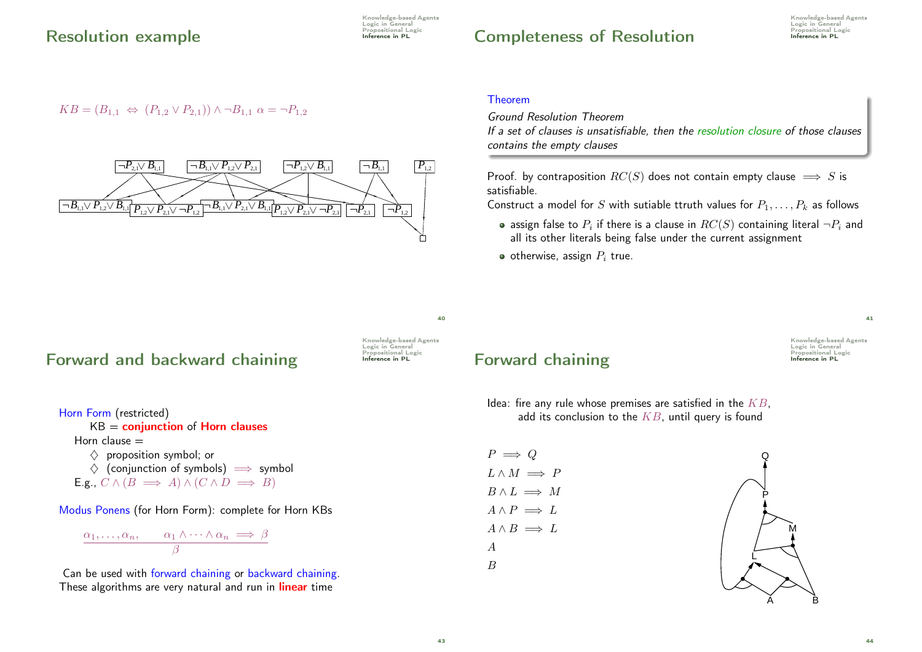Knowledge-based Agents Logic in General<br>Propositional Logic

## Completeness of Resolution **Propositional Logic Completence** in PL

### $KB = (B_{1,1} \Leftrightarrow (P_{1,2} \vee P_{2,1})) \wedge \neg B_{1,1} \alpha = \neg P_{1,2}$



### Theorem

Ground Resolution Theorem If a set of clauses is unsatisfiable, then the resolution closure of those clauses contains the empty clauses

Proof. by contraposition  $RC(S)$  does not contain empty clause  $\implies S$  is satisfiable.

Construct a model for S with sutiable ttruth values for  $P_1, \ldots, P_k$  as follows

- assign false to  $P_i$  if there is a clause in  $RC(S)$  containing literal  $\neg P_i$  and all its other literals being false under the current assignment
- $\bullet$  otherwise, assign  $P_i$  true.

Forward and backward chaining For Inference in PL



 $40$ 

Horn Form (restricted)  $KB =$  conjunction of Horn clauses Horn clause  $=$  $\diamondsuit$  proposition symbol; or  $\Diamond$  (conjunction of symbols)  $\implies$  symbol E.g.,  $C \wedge (B \implies A) \wedge (C \wedge D \implies B)$ 

Modus Ponens (for Horn Form): complete for Horn KBs

$$
\frac{\alpha_1, \ldots, \alpha_n, \qquad \alpha_1 \wedge \cdots \wedge \alpha_n \implies \beta}{\beta}
$$

Can be used with forward chaining or backward chaining. These algorithms are very natural and run in **linear** time

**Forward chaining** Forward  $\frac{1}{2}$ 

Knowledge-based Agents **Logic in General**<br>Propositional Logic

41

Idea: fire any rule whose premises are satisfied in the  $KB$ . add its conclusion to the  $KB$ , until query is found

| $P \implies Q$          |  |
|-------------------------|--|
| $L \wedge M \implies P$ |  |
| $B \wedge L \implies M$ |  |
| $A \wedge P \implies L$ |  |
| $A \wedge B \implies L$ |  |
| А                       |  |
| B                       |  |
|                         |  |

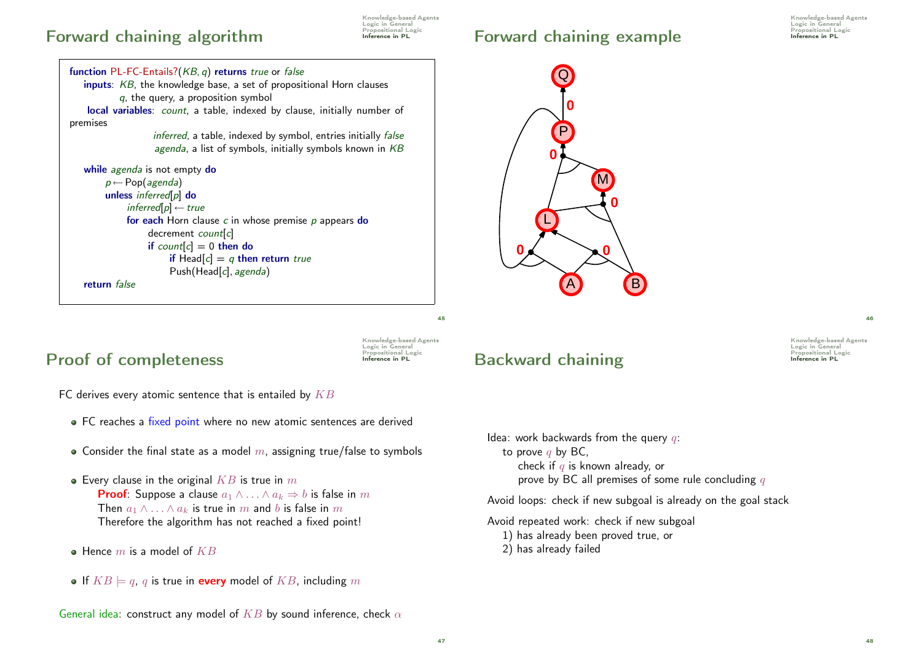### Forward chaining algorithm **Inference in PL**

Knowledge-based Agents Logic in General<br>Propositional Logic

```
function PL-FC-Entails?(KB, q) returns true or false
   inputs: KB, the knowledge base, a set of propositional Horn clauses
           q, the query, a proposition symbol
   local variables: count, a table, indexed by clause, initially number of
premises
                   inferred, a table, indexed by symbol, entries initially false
                   agenda, a list of symbols, initially symbols known in KBwhile agenda is not empty do
        p \leftarrow Pop(agenda)
        unless inferred[p] do
             inferced[p] \leftarrow true
             for each Horn clause c in whose premise p appears do
                  decrement count[c]
                  if count[c] = 0 then do
                       if Head[c] = q then return true
                       Push(Head[c], agenda)
   return false
```
## Forward chaining example Interestigal Logic Inference in PL



## Proof of completeness **Inference in PL**

Knowledge-based Agents Logic in General<br>Propositional Logic

45

FC derives every atomic sentence that is entailed by  $KB$ 

- FC reaches a fixed point where no new atomic sentences are derived
- Consider the final state as a model  $m$ , assigning true/false to symbols
- Every clause in the original  $KB$  is true in  $m$ **Proof:** Suppose a clause  $a_1 \wedge \ldots \wedge a_k \Rightarrow b$  is false in m Then  $a_1 \wedge \ldots \wedge a_k$  is true in m and b is false in m Therefore the algorithm has not reached a fixed point!
- $\bullet$  Hence m is a model of  $KB$
- If  $KB \models q$ , q is true in every model of  $KB$ , including m

## **Backward chaining Interestignal Logic Backward Chaining**

Idea: work backwards from the query  $q$ : to prove  $q$  by BC, check if  $q$  is known already, or prove by BC all premises of some rule concluding  $q$ 

Avoid loops: check if new subgoal is already on the goal stack

Avoid repeated work: check if new subgoal

- 1) has already been proved true, or
- 2) has already failed

46

Knowledge-based Agents **Logic in General**<br>Propositional Logic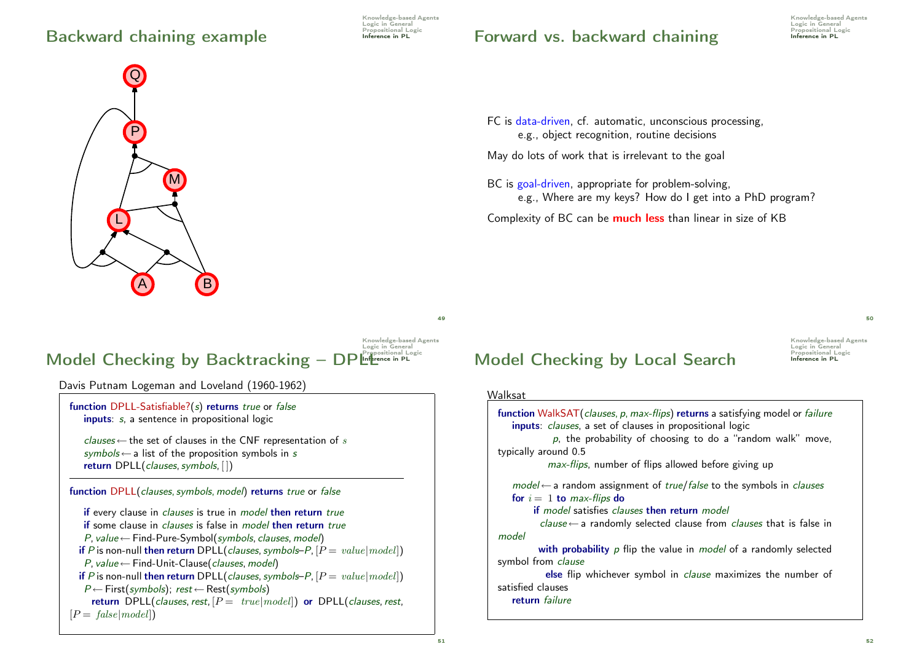## Backward chaining example Inference in PL

Knowledge-based Agents Logic in General<br>Propositional Logic

## Forward vs. backward chaining For the propositional Li

Knowledge-based Agents Logic in General<br>Propositional Logic



### Knowledge-based Agents Logic in General Model Checking by Backtracking – DPLInference in PL

Davis Putnam Logeman and Loveland (1960-1962)

function DPLL-Satisfiable?(s) returns true or false inputs: s, a sentence in propositional logic

clauses  $\leftarrow$  the set of clauses in the CNF representation of s  $symbols \leftarrow$  a list of the proposition symbols in s return DPLL(clauses, symbols, [])

function DPLL(clauses, symbols, model) returns true or false

if every clause in *clauses* is true in *model* then return true if some clause in *clauses* is false in *model* then return true  $P$ , value ← Find-Pure-Symbol(symbols, clauses, model) if P is non-null then return DPLL(clauses, symbols–P,  $[P = value | model]$ )  $P$ , value  $\leftarrow$  Find-Unit-Clause(clauses, model) if P is non-null then return DPLL(clauses, symbols–P,  $[P = value | model]$ )  $P \leftarrow$  First(symbols); rest  $\leftarrow$  Rest(symbols) return DPLL(clauses, rest,  $[P = true | model]$ ) or DPLL(clauses, rest,  $[P = false | model]$ 

FC is data-driven, cf. automatic, unconscious processing, e.g., object recognition, routine decisions

May do lots of work that is irrelevant to the goal

BC is goal-driven, appropriate for problem-solving, e.g., Where are my keys? How do I get into a PhD program?

Complexity of BC can be **much less** than linear in size of KB

Knowledge-based Agents Logic in General<br>Propositional Logic Model Checking by Local Search Inference in PL

### Walksat



 $49$ 

50